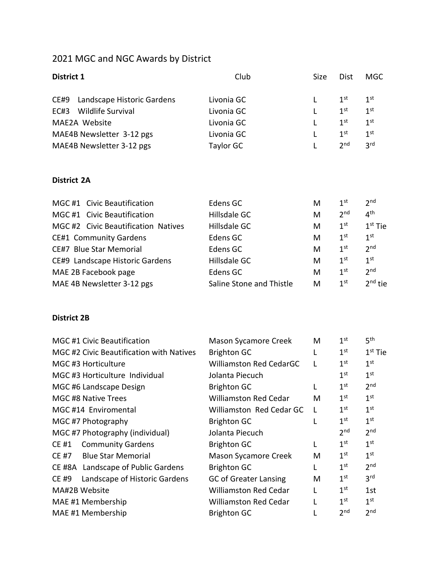## 2021 MGC and NGC Awards by District

| District 1                          | Club                     | Size | <b>Dist</b>     | <b>MGC</b>          |
|-------------------------------------|--------------------------|------|-----------------|---------------------|
| Landscape Historic Gardens<br>CE#9  | Livonia GC               | L    | 1 <sup>st</sup> | 1 <sup>st</sup>     |
| Wildlife Survival<br>EC#3           | Livonia GC               |      | 1 <sup>st</sup> | 1 <sup>st</sup>     |
| MAE2A Website                       | Livonia GC               |      | $1^{\text{st}}$ | 1 <sup>st</sup>     |
| MAE4B Newsletter 3-12 pgs           | Livonia GC               |      | 1 <sup>st</sup> | 1 <sup>st</sup>     |
| MAE4B Newsletter 3-12 pgs           | <b>Taylor GC</b>         | L    | 2 <sub>nd</sub> | 3 <sup>rd</sup>     |
| <b>District 2A</b>                  |                          |      |                 |                     |
| MGC #1 Civic Beautification         | Edens GC                 | M    | $1^{\rm st}$    | 2 <sup>nd</sup>     |
| MGC #1 Civic Beautification         | Hillsdale GC             | M    | 2 <sup>nd</sup> | 4 <sup>th</sup>     |
| MGC #2 Civic Beautification Natives | Hillsdale GC             | M    | 1 <sup>st</sup> | $1st$ Tie           |
| <b>CE#1 Community Gardens</b>       | Edens GC                 | M    | 1 <sup>st</sup> | 1 <sup>st</sup>     |
| CE#7 Blue Star Memorial             | Edens GC                 | M    | $1^{\rm st}$    | 2 <sub>nd</sub>     |
| CE#9 Landscape Historic Gardens     | Hillsdale GC             | M    | $1^{\rm st}$    | 1 <sup>st</sup>     |
| MAE 2B Facebook page                | Edens GC                 | M    | 1 <sup>st</sup> | 2 <sup>nd</sup>     |
| MAE 4B Newsletter 3-12 pgs          | Saline Stone and Thistle | M    | 1 <sup>st</sup> | 2 <sup>nd</sup> tie |

## **District 2B**

| <b>MGC #1 Civic Beautification</b> |                                          | <b>Mason Sycamore Creek</b>    | M | 1 <sup>st</sup> | 5 <sup>th</sup> |
|------------------------------------|------------------------------------------|--------------------------------|---|-----------------|-----------------|
|                                    | MGC #2 Civic Beautification with Natives | <b>Brighton GC</b>             | L | 1 <sup>st</sup> | $1st$ Tie       |
| MGC #3 Horticulture                |                                          | <b>Williamston Red CedarGC</b> | L | 1 <sup>st</sup> | 1 <sup>st</sup> |
| MGC#3 Horticulture Individual      |                                          | Jolanta Piecuch                |   | 1 <sup>st</sup> | 1 <sup>st</sup> |
| MGC #6 Landscape Design            |                                          | <b>Brighton GC</b>             | L | 1 <sup>st</sup> | 2 <sub>nd</sub> |
| MGC #8 Native Trees                |                                          | <b>Williamston Red Cedar</b>   | М | 1 <sup>st</sup> | 1 <sup>st</sup> |
| MGC #14 Enviromental               |                                          | Williamston Red Cedar GC       | L | 1 <sup>st</sup> | 1 <sup>st</sup> |
| MGC #7 Photography                 |                                          | <b>Brighton GC</b>             | L | 1 <sup>st</sup> | 1 <sup>st</sup> |
|                                    | MGC #7 Photography (individual)          | Jolanta Piecuch                |   | 2 <sub>nd</sub> | 2 <sub>nd</sub> |
| CE #1                              | <b>Community Gardens</b>                 | <b>Brighton GC</b>             | L | 1 <sup>st</sup> | 1 <sup>st</sup> |
| CE #7                              | <b>Blue Star Memorial</b>                | <b>Mason Sycamore Creek</b>    | M | 1 <sup>st</sup> | 1 <sup>st</sup> |
|                                    | CE #8A Landscape of Public Gardens       | <b>Brighton GC</b>             | L | 1 <sup>st</sup> | 2 <sub>nd</sub> |
| <b>CE #9</b>                       | Landscape of Historic Gardens            | <b>GC of Greater Lansing</b>   | M | 1 <sup>st</sup> | 3 <sup>rd</sup> |
| MA#2B Website                      |                                          | <b>Williamston Red Cedar</b>   |   | 1 <sup>st</sup> | 1st             |
| MAE #1 Membership                  |                                          | <b>Williamston Red Cedar</b>   | L | 1 <sup>st</sup> | 1 <sup>st</sup> |
| MAE #1 Membership                  |                                          | <b>Brighton GC</b>             |   | 2 <sup>nd</sup> | 2 <sub>nd</sub> |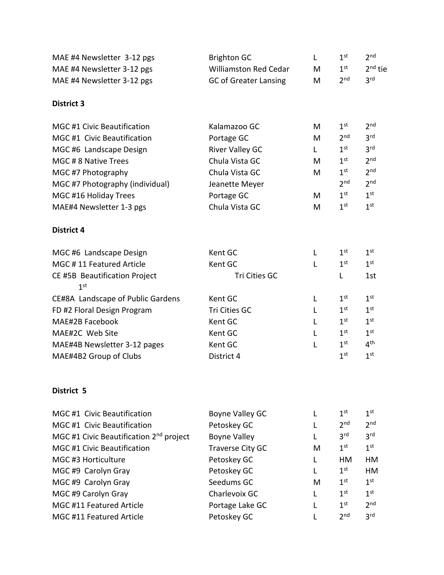| MAE #4 Newsletter 3-12 pgs                       | <b>Brighton GC</b>           | L  | 1 <sup>st</sup> | 2 <sub>nd</sub> |
|--------------------------------------------------|------------------------------|----|-----------------|-----------------|
| MAE #4 Newsletter 3-12 pgs                       | <b>Williamston Red Cedar</b> | M  | 1 <sup>st</sup> | $2nd$ tie       |
| MAE #4 Newsletter 3-12 pgs                       | <b>GC of Greater Lansing</b> | M  | 2 <sup>nd</sup> | 3 <sup>rd</sup> |
| <b>District 3</b>                                |                              |    |                 |                 |
| <b>MGC #1 Civic Beautification</b>               | Kalamazoo GC                 | M  | 1 <sup>st</sup> | 2 <sub>nd</sub> |
| MGC #1 Civic Beautification                      | Portage GC                   | M  | 2 <sub>nd</sub> | 3 <sup>rd</sup> |
| MGC #6 Landscape Design                          | <b>River Valley GC</b>       | L. | $1^{\text{st}}$ | 3 <sup>rd</sup> |
| MGC #8 Native Trees                              | Chula Vista GC               | M  | 1 <sup>st</sup> | 2 <sub>nd</sub> |
| MGC #7 Photography                               | Chula Vista GC               | M  | 1 <sup>st</sup> | 2 <sup>nd</sup> |
| MGC #7 Photography (individual)                  | Jeanette Meyer               |    | 2 <sub>nd</sub> | 2 <sub>nd</sub> |
| MGC #16 Holiday Trees                            | Portage GC                   | M  | 1 <sup>st</sup> | 1 <sup>st</sup> |
| MAE#4 Newsletter 1-3 pgs                         | Chula Vista GC               | M  | 1 <sup>st</sup> | 1 <sup>st</sup> |
| <b>District 4</b>                                |                              |    |                 |                 |
| MGC #6 Landscape Design                          | Kent GC                      | L  | 1 <sup>st</sup> | 1 <sup>st</sup> |
| MGC #11 Featured Article                         | Kent GC                      | L  | 1 <sup>st</sup> | 1 <sup>st</sup> |
| CE #5B Beautification Project<br>1 <sup>st</sup> | Tri Cities GC                |    | L               | 1st             |
| CE#8A Landscape of Public Gardens                | Kent GC                      | L  | 1 <sup>st</sup> | 1 <sup>st</sup> |
| FD #2 Floral Design Program                      | Tri Cities GC                | L  | 1 <sup>st</sup> | 1 <sup>st</sup> |
| MAE#2B Facebook                                  | Kent GC                      | L  | 1 <sup>st</sup> | 1 <sup>st</sup> |
| MAE#2C Web Site                                  | Kent GC                      | L  | 1 <sup>st</sup> | 1 <sup>st</sup> |
| MAE#4B Newsletter 3-12 pages                     | Kent GC                      | L  | 1 <sup>st</sup> | 4 <sup>th</sup> |
| MAE#4B2 Group of Clubs                           | District 4                   |    | 1 <sup>st</sup> | 1 <sup>st</sup> |
| District 5                                       |                              |    |                 |                 |
| MGC #1 Civic Beautification                      | Boyne Valley GC              | L  | 1 <sup>st</sup> | $1^{\rm st}$    |
| <b>MGC #1 Civic Beautification</b>               | Petoskey GC                  | L  | 2 <sub>nd</sub> | 2 <sub>nd</sub> |
| MGC #1 Civic Beautification $2nd$ project        | <b>Boyne Valley</b>          | L  | 3 <sup>rd</sup> | 3 <sup>rd</sup> |
| <b>MGC #1 Civic Beautification</b>               | Traverse City GC             | M  | 1 <sup>st</sup> | 1 <sup>st</sup> |
| MGC #3 Horticulture                              | Petoskey GC                  | L  | HM              | HM              |
| MGC #9 Carolyn Gray                              | Petoskey GC                  | L  | 1 <sup>st</sup> | HM              |
| MGC #9 Carolyn Gray                              | Seedums GC                   | M  | 1 <sup>st</sup> | 1 <sup>st</sup> |
| MGC #9 Carolyn Gray                              | Charlevoix GC                | L  | 1 <sup>st</sup> | 1 <sup>st</sup> |
| MGC #11 Featured Article                         | Portage Lake GC              | L  | 1 <sup>st</sup> | 2 <sub>nd</sub> |

MGC #11 Featured Article Petoskey GC L 2 nd 3 rd